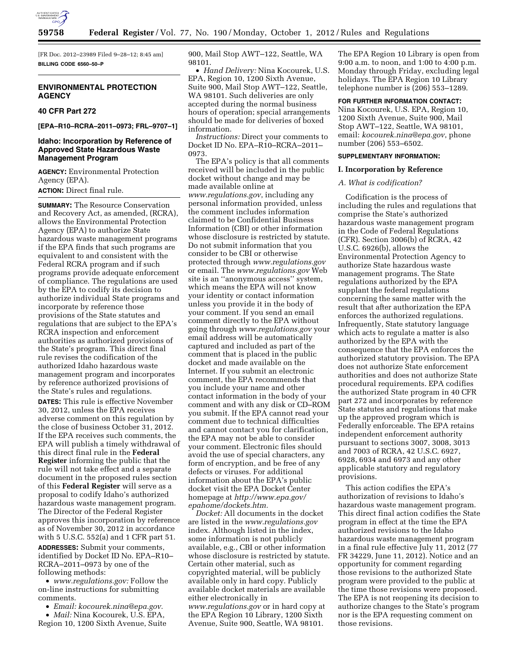

[FR Doc. 2012–23989 Filed 9–28–12; 8:45 am] **BILLING CODE 6560–50–P** 

# **ENVIRONMENTAL PROTECTION AGENCY**

# **40 CFR Part 272**

# **[EPA–R10–RCRA–2011–0973; FRL–9707–1]**

# **Idaho: Incorporation by Reference of Approved State Hazardous Waste Management Program**

**AGENCY:** Environmental Protection Agency (EPA).

**ACTION:** Direct final rule.

**SUMMARY:** The Resource Conservation and Recovery Act, as amended, (RCRA), allows the Environmental Protection Agency (EPA) to authorize State hazardous waste management programs if the EPA finds that such programs are equivalent to and consistent with the Federal RCRA program and if such programs provide adequate enforcement of compliance. The regulations are used by the EPA to codify its decision to authorize individual State programs and incorporate by reference those provisions of the State statutes and regulations that are subject to the EPA's RCRA inspection and enforcement authorities as authorized provisions of the State's program. This direct final rule revises the codification of the authorized Idaho hazardous waste management program and incorporates by reference authorized provisions of the State's rules and regulations.

**DATES:** This rule is effective November 30, 2012, unless the EPA receives adverse comment on this regulation by the close of business October 31, 2012. If the EPA receives such comments, the EPA will publish a timely withdrawal of this direct final rule in the **Federal Register** informing the public that the rule will not take effect and a separate document in the proposed rules section of this **Federal Register** will serve as a proposal to codify Idaho's authorized hazardous waste management program. The Director of the Federal Register approves this incorporation by reference as of November 30, 2012 in accordance with 5 U.S.C. 552(a) and 1 CFR part 51. **ADDRESSES:** Submit your comments, identified by Docket ID No. EPA–R10– RCRA–2011–0973 by one of the following methods:

• *[www.regulations.gov:](http://www.regulations.gov)* Follow the on-line instructions for submitting comments.

• *Email: [kocourek.nina@epa.gov.](mailto:kocourek.nina@epa.gov)* 

• *Mail:* Nina Kocourek, U.S. EPA, Region 10, 1200 Sixth Avenue, Suite 900, Mail Stop AWT–122, Seattle, WA 98101.

• *Hand Delivery:* Nina Kocourek, U.S. EPA, Region 10, 1200 Sixth Avenue, Suite 900, Mail Stop AWT–122, Seattle, WA 98101. Such deliveries are only accepted during the normal business hours of operation; special arrangements should be made for deliveries of boxed information.

*Instructions:* Direct your comments to Docket ID No. EPA–R10–RCRA–2011– 0973.

The EPA's policy is that all comments received will be included in the public docket without change and may be made available online at *[www.regulations.gov](http://www.regulations.gov)*, including any personal information provided, unless the comment includes information claimed to be Confidential Business Information (CBI) or other information whose disclosure is restricted by statute. Do not submit information that you consider to be CBI or otherwise protected through *[www.regulations.gov](http://www.regulations.gov)*  or email. The *[www.regulations.gov](http://www.regulations.gov)* Web site is an ''anonymous access'' system, which means the EPA will not know your identity or contact information unless you provide it in the body of your comment. If you send an email comment directly to the EPA without going through *[www.regulations.gov](http://www.regulations.gov)* your email address will be automatically captured and included as part of the comment that is placed in the public docket and made available on the Internet. If you submit an electronic comment, the EPA recommends that you include your name and other contact information in the body of your comment and with any disk or CD–ROM you submit. If the EPA cannot read your comment due to technical difficulties and cannot contact you for clarification, the EPA may not be able to consider your comment. Electronic files should avoid the use of special characters, any form of encryption, and be free of any defects or viruses. For additional information about the EPA's public docket visit the EPA Docket Center homepage at *[http://www.epa.gov/](http://www.epa.gov/epahome/dockets.htm) [epahome/dockets.htm.](http://www.epa.gov/epahome/dockets.htm)* 

*Docket:* All documents in the docket are listed in the *[www.regulations.gov](http://www.regulations.gov)*  index. Although listed in the index, some information is not publicly available, e.g., CBI or other information whose disclosure is restricted by statute. Certain other material, such as copyrighted material, will be publicly available only in hard copy. Publicly available docket materials are available either electronically in *[www.regulations.gov](http://www.regulations.gov)* or in hard copy at the EPA Region 10 Library, 1200 Sixth Avenue, Suite 900, Seattle, WA 98101.

The EPA Region 10 Library is open from 9:00 a.m. to noon, and 1:00 to 4:00 p.m. Monday through Friday, excluding legal holidays. The EPA Region 10 Library telephone number is (206) 553–1289.

# **FOR FURTHER INFORMATION CONTACT:**

Nina Kocourek, U.S. EPA, Region 10, 1200 Sixth Avenue, Suite 900, Mail Stop AWT–122, Seattle, WA 98101, email: *[kocourek.nina@epa.gov](mailto:kocourek.nina@epa.gov)*, phone number (206) 553–6502.

### **SUPPLEMENTARY INFORMATION:**

#### **I. Incorporation by Reference**

### *A. What is codification?*

Codification is the process of including the rules and regulations that comprise the State's authorized hazardous waste management program in the Code of Federal Regulations (CFR). Section 3006(b) of RCRA, 42 U.S.C. 6926(b), allows the Environmental Protection Agency to authorize State hazardous waste management programs. The State regulations authorized by the EPA supplant the federal regulations concerning the same matter with the result that after authorization the EPA enforces the authorized regulations. Infrequently, State statutory language which acts to regulate a matter is also authorized by the EPA with the consequence that the EPA enforces the authorized statutory provision. The EPA does not authorize State enforcement authorities and does not authorize State procedural requirements. EPA codifies the authorized State program in 40 CFR part 272 and incorporates by reference State statutes and regulations that make up the approved program which is Federally enforceable. The EPA retains independent enforcement authority pursuant to sections 3007, 3008, 3013 and 7003 of RCRA, 42 U.S.C. 6927, 6928, 6934 and 6973 and any other applicable statutory and regulatory provisions.

This action codifies the EPA's authorization of revisions to Idaho's hazardous waste management program. This direct final action codifies the State program in effect at the time the EPA authorized revisions to the Idaho hazardous waste management program in a final rule effective July 11, 2012 (77 FR 34229, June 11, 2012). Notice and an opportunity for comment regarding those revisions to the authorized State program were provided to the public at the time those revisions were proposed. The EPA is not reopening its decision to authorize changes to the State's program nor is the EPA requesting comment on those revisions.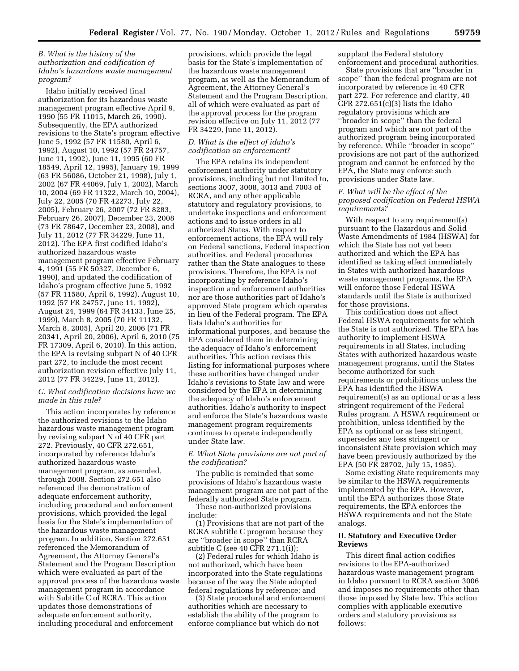# *B. What is the history of the authorization and codification of Idaho's hazardous waste management program?*

Idaho initially received final authorization for its hazardous waste management program effective April 9, 1990 (55 FR 11015, March 26, 1990). Subsequently, the EPA authorized revisions to the State's program effective June 5, 1992 (57 FR 11580, April 6, 1992), August 10, 1992 (57 FR 24757, June 11, 1992), June 11, 1995 (60 FR 18549, April 12, 1995), January 19, 1999 (63 FR 56086, October 21, 1998), July 1, 2002 (67 FR 44069, July 1, 2002), March 10, 2004 (69 FR 11322, March 10, 2004), July 22, 2005 (70 FR 42273, July 22, 2005), February 26, 2007 (72 FR 8283, February 26, 2007), December 23, 2008 (73 FR 78647, December 23, 2008), and July 11, 2012 (77 FR 34229, June 11, 2012). The EPA first codified Idaho's authorized hazardous waste management program effective February 4, 1991 (55 FR 50327, December 6, 1990), and updated the codification of Idaho's program effective June 5, 1992 (57 FR 11580, April 6, 1992), August 10, 1992 (57 FR 24757, June 11, 1992), August 24, 1999 (64 FR 34133, June 25, 1999), March 8, 2005 (70 FR 11132, March 8, 2005), April 20, 2006 (71 FR 20341, April 20, 2006), April 6, 2010 (75 FR 17309, April 6, 2010). In this action, the EPA is revising subpart N of 40 CFR part 272, to include the most recent authorization revision effective July 11, 2012 (77 FR 34229, June 11, 2012).

### *C. What codification decisions have we made in this rule?*

This action incorporates by reference the authorized revisions to the Idaho hazardous waste management program by revising subpart N of 40 CFR part 272. Previously, 40 CFR 272.651, incorporated by reference Idaho's authorized hazardous waste management program, as amended, through 2008. Section 272.651 also referenced the demonstration of adequate enforcement authority, including procedural and enforcement provisions, which provided the legal basis for the State's implementation of the hazardous waste management program. In addition, Section 272.651 referenced the Memorandum of Agreement, the Attorney General's Statement and the Program Description which were evaluated as part of the approval process of the hazardous waste management program in accordance with Subtitle C of RCRA. This action updates those demonstrations of adequate enforcement authority, including procedural and enforcement

provisions, which provide the legal basis for the State's implementation of the hazardous waste management program, as well as the Memorandum of Agreement, the Attorney General's Statement and the Program Description, all of which were evaluated as part of the approval process for the program revision effective on July 11, 2012 (77 FR 34229, June 11, 2012).

## *D. What is the effect of idaho's codification on enforcement?*

The EPA retains its independent enforcement authority under statutory provisions, including but not limited to, sections 3007, 3008, 3013 and 7003 of RCRA, and any other applicable statutory and regulatory provisions, to undertake inspections and enforcement actions and to issue orders in all authorized States. With respect to enforcement actions, the EPA will rely on Federal sanctions, Federal inspection authorities, and Federal procedures rather than the State analogues to these provisions. Therefore, the EPA is not incorporating by reference Idaho's inspection and enforcement authorities nor are those authorities part of Idaho's approved State program which operates in lieu of the Federal program. The EPA lists Idaho's authorities for informational purposes, and because the EPA considered them in determining the adequacy of Idaho's enforcement authorities. This action revises this listing for informational purposes where these authorities have changed under Idaho's revisions to State law and were considered by the EPA in determining the adequacy of Idaho's enforcement authorities. Idaho's authority to inspect and enforce the State's hazardous waste management program requirements continues to operate independently under State law.

# *E. What State provisions are not part of the codification?*

The public is reminded that some provisions of Idaho's hazardous waste management program are not part of the federally authorized State program.

These non-authorized provisions include:

(1) Provisions that are not part of the RCRA subtitle C program because they are ''broader in scope'' than RCRA subtitle C (see 40 CFR 271.1(i));

(2) Federal rules for which Idaho is not authorized, which have been incorporated into the State regulations because of the way the State adopted federal regulations by reference; and

(3) State procedural and enforcement authorities which are necessary to establish the ability of the program to enforce compliance but which do not

supplant the Federal statutory enforcement and procedural authorities.

State provisions that are ''broader in scope'' than the federal program are not incorporated by reference in 40 CFR part 272. For reference and clarity, 40 CFR  $272.651(c)(3)$  lists the Idaho regulatory provisions which are ''broader in scope'' than the federal program and which are not part of the authorized program being incorporated by reference. While ''broader in scope'' provisions are not part of the authorized program and cannot be enforced by the EPA, the State may enforce such provisions under State law.

# *F. What will be the effect of the proposed codification on Federal HSWA requirements?*

With respect to any requirement(s) pursuant to the Hazardous and Solid Waste Amendments of 1984 (HSWA) for which the State has not yet been authorized and which the EPA has identified as taking effect immediately in States with authorized hazardous waste management programs, the EPA will enforce those Federal HSWA standards until the State is authorized for those provisions.

This codification does not affect Federal HSWA requirements for which the State is not authorized. The EPA has authority to implement HSWA requirements in all States, including States with authorized hazardous waste management programs, until the States become authorized for such requirements or prohibitions unless the EPA has identified the HSWA requirement(s) as an optional or as a less stringent requirement of the Federal Rules program. A HSWA requirement or prohibition, unless identified by the EPA as optional or as less stringent, supersedes any less stringent or inconsistent State provision which may have been previously authorized by the EPA (50 FR 28702, July 15, 1985).

Some existing State requirements may be similar to the HSWA requirements implemented by the EPA. However, until the EPA authorizes those State requirements, the EPA enforces the HSWA requirements and not the State analogs.

## **II. Statutory and Executive Order Reviews**

This direct final action codifies revisions to the EPA-authorized hazardous waste management program in Idaho pursuant to RCRA section 3006 and imposes no requirements other than those imposed by State law. This action complies with applicable executive orders and statutory provisions as follows: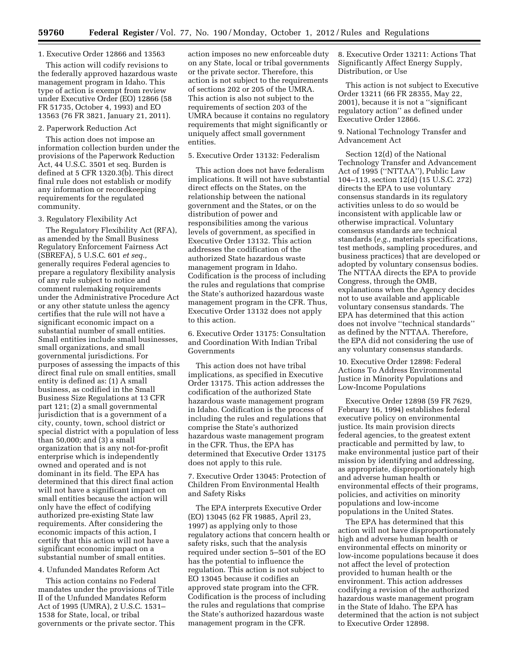## 1. Executive Order 12866 and 13563

This action will codify revisions to the federally approved hazardous waste management program in Idaho. This type of action is exempt from review under Executive Order (EO) 12866 (58 FR 51735, October 4, 1993) and EO 13563 (76 FR 3821, January 21, 2011).

#### 2. Paperwork Reduction Act

This action does not impose an information collection burden under the provisions of the Paperwork Reduction Act, 44 U.S.C. 3501 et seq. Burden is defined at 5 CFR 1320.3(b). This direct final rule does not establish or modify any information or recordkeeping requirements for the regulated community.

#### 3. Regulatory Flexibility Act

The Regulatory Flexibility Act (RFA), as amended by the Small Business Regulatory Enforcement Fairness Act (SBREFA), 5 U.S.C. 601 *et seq.,*  generally requires Federal agencies to prepare a regulatory flexibility analysis of any rule subject to notice and comment rulemaking requirements under the Administrative Procedure Act or any other statute unless the agency certifies that the rule will not have a significant economic impact on a substantial number of small entities. Small entities include small businesses, small organizations, and small governmental jurisdictions. For purposes of assessing the impacts of this direct final rule on small entities, small entity is defined as: (1) A small business, as codified in the Small Business Size Regulations at 13 CFR part 121; (2) a small governmental jurisdiction that is a government of a city, county, town, school district or special district with a population of less than 50,000; and (3) a small organization that is any not-for-profit enterprise which is independently owned and operated and is not dominant in its field. The EPA has determined that this direct final action will not have a significant impact on small entities because the action will only have the effect of codifying authorized pre-existing State law requirements. After considering the economic impacts of this action, I certify that this action will not have a significant economic impact on a substantial number of small entities.

#### 4. Unfunded Mandates Reform Act

This action contains no Federal mandates under the provisions of Title II of the Unfunded Mandates Reform Act of 1995 (UMRA), 2 U.S.C. 1531– 1538 for State, local, or tribal governments or the private sector. This action imposes no new enforceable duty on any State, local or tribal governments or the private sector. Therefore, this action is not subject to the requirements of sections 202 or 205 of the UMRA. This action is also not subject to the requirements of section 203 of the UMRA because it contains no regulatory requirements that might significantly or uniquely affect small government entities.

### 5. Executive Order 13132: Federalism

This action does not have federalism implications. It will not have substantial direct effects on the States, on the relationship between the national government and the States, or on the distribution of power and responsibilities among the various levels of government, as specified in Executive Order 13132. This action addresses the codification of the authorized State hazardous waste management program in Idaho. Codification is the process of including the rules and regulations that comprise the State's authorized hazardous waste management program in the CFR. Thus, Executive Order 13132 does not apply to this action.

6. Executive Order 13175: Consultation and Coordination With Indian Tribal Governments

This action does not have tribal implications, as specified in Executive Order 13175. This action addresses the codification of the authorized State hazardous waste management program in Idaho. Codification is the process of including the rules and regulations that comprise the State's authorized hazardous waste management program in the CFR. Thus, the EPA has determined that Executive Order 13175 does not apply to this rule.

7. Executive Order 13045: Protection of Children From Environmental Health and Safety Risks

The EPA interprets Executive Order (EO) 13045 (62 FR 19885, April 23, 1997) as applying only to those regulatory actions that concern health or safety risks, such that the analysis required under section 5–501 of the EO has the potential to influence the regulation. This action is not subject to EO 13045 because it codifies an approved state program into the CFR. Codification is the process of including the rules and regulations that comprise the State's authorized hazardous waste management program in the CFR.

8. Executive Order 13211: Actions That Significantly Affect Energy Supply, Distribution, or Use

This action is not subject to Executive Order 13211 (66 FR 28355, May 22, 2001), because it is not a ''significant regulatory action'' as defined under Executive Order 12866.

9. National Technology Transfer and Advancement Act

Section 12(d) of the National Technology Transfer and Advancement Act of 1995 (''NTTAA''), Public Law 104–113, section 12(d) (15 U.S.C. 272) directs the EPA to use voluntary consensus standards in its regulatory activities unless to do so would be inconsistent with applicable law or otherwise impractical. Voluntary consensus standards are technical standards (*e.g.,* materials specifications, test methods, sampling procedures, and business practices) that are developed or adopted by voluntary consensus bodies. The NTTAA directs the EPA to provide Congress, through the OMB, explanations when the Agency decides not to use available and applicable voluntary consensus standards. The EPA has determined that this action does not involve ''technical standards'' as defined by the NTTAA. Therefore, the EPA did not considering the use of any voluntary consensus standards.

10. Executive Order 12898: Federal Actions To Address Environmental Justice in Minority Populations and Low-Income Populations

Executive Order 12898 (59 FR 7629, February 16, 1994) establishes federal executive policy on environmental justice. Its main provision directs federal agencies, to the greatest extent practicable and permitted by law, to make environmental justice part of their mission by identifying and addressing, as appropriate, disproportionately high and adverse human health or environmental effects of their programs, policies, and activities on minority populations and low-income populations in the United States.

The EPA has determined that this action will not have disproportionately high and adverse human health or environmental effects on minority or low-income populations because it does not affect the level of protection provided to human health or the environment. This action addresses codifying a revision of the authorized hazardous waste management program in the State of Idaho. The EPA has determined that the action is not subject to Executive Order 12898.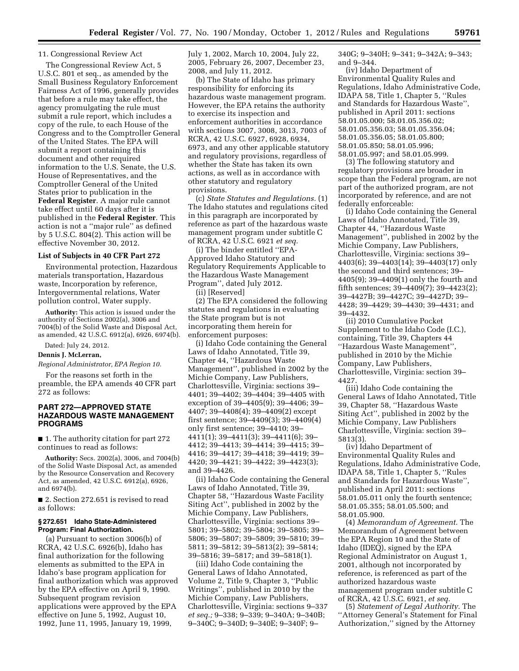### 11. Congressional Review Act

The Congressional Review Act, 5 U.S.C. 801 et seq., as amended by the Small Business Regulatory Enforcement Fairness Act of 1996, generally provides that before a rule may take effect, the agency promulgating the rule must submit a rule report, which includes a copy of the rule, to each House of the Congress and to the Comptroller General of the United States. The EPA will submit a report containing this document and other required information to the U.S. Senate, the U.S. House of Representatives, and the Comptroller General of the United States prior to publication in the **Federal Register**. A major rule cannot take effect until 60 days after it is published in the **Federal Register**. This action is not a ''major rule'' as defined by 5 U.S.C. 804(2). This action will be effective November 30, 2012.

#### **List of Subjects in 40 CFR Part 272**

Environmental protection, Hazardous materials transportation, Hazardous waste, Incorporation by reference, Intergovernmental relations, Water pollution control, Water supply.

**Authority:** This action is issued under the authority of Sections 2002(a), 3006 and 7004(b) of the Solid Waste and Disposal Act, as amended, 42 U.S.C. 6912(a), 6926, 6974(b).

Dated: July 24, 2012.

#### **Dennis J. McLerran,**

*Regional Administrator, EPA Region 10.* 

For the reasons set forth in the preamble, the EPA amends 40 CFR part 272 as follows:

# **PART 272—APPROVED STATE HAZARDOUS WASTE MANAGEMENT PROGRAMS**

■ 1. The authority citation for part 272 continues to read as follows:

**Authority:** Secs. 2002(a), 3006, and 7004(b) of the Solid Waste Disposal Act, as amended by the Resource Conservation and Recovery Act, as amended, 42 U.S.C. 6912(a), 6926, and 6974(b).

■ 2. Section 272.651 is revised to read as follows:

#### **§ 272.651 Idaho State-Administered Program: Final Authorization.**

(a) Pursuant to section 3006(b) of RCRA, 42 U.S.C. 6926(b), Idaho has final authorization for the following elements as submitted to the EPA in Idaho's base program application for final authorization which was approved by the EPA effective on April 9, 1990. Subsequent program revision applications were approved by the EPA effective on June 5, 1992, August 10, 1992, June 11, 1995, January 19, 1999,

July 1, 2002, March 10, 2004, July 22, 2005, February 26, 2007, December 23, 2008, and July 11, 2012.

(b) The State of Idaho has primary responsibility for enforcing its hazardous waste management program. However, the EPA retains the authority to exercise its inspection and enforcement authorities in accordance with sections 3007, 3008, 3013, 7003 of RCRA, 42 U.S.C. 6927, 6928, 6934, 6973, and any other applicable statutory and regulatory provisions, regardless of whether the State has taken its own actions, as well as in accordance with other statutory and regulatory provisions.

(c) *State Statutes and Regulations.* (1) The Idaho statutes and regulations cited in this paragraph are incorporated by reference as part of the hazardous waste management program under subtitle C of RCRA, 42 U.S.C. 6921 *et seq.* 

(i) The binder entitled ''EPA-Approved Idaho Statutory and Regulatory Requirements Applicable to the Hazardous Waste Management Program'', dated July 2012.

(ii) [Reserved]

(2) The EPA considered the following statutes and regulations in evaluating the State program but is not incorporating them herein for enforcement purposes:

(i) Idaho Code containing the General Laws of Idaho Annotated, Title 39, Chapter 44, ''Hazardous Waste Management'', published in 2002 by the Michie Company, Law Publishers, Charlottesville, Virginia: sections 39– 4401; 39–4402; 39–4404; 39–4405 with exception of 39–4405(9); 39–4406; 39– 4407; 39–4408(4); 39–4409(2) except first sentence; 39–4409(3); 39–4409(4) only first sentence; 39–4410; 39– 4411(1); 39–4411(3); 39–4411(6); 39– 4412; 39–4413; 39–4414; 39–4415; 39– 4416; 39–4417; 39–4418; 39–4419; 39– 4420; 39–4421; 39–4422; 39–4423(3); and 39–4426.

(ii) Idaho Code containing the General Laws of Idaho Annotated, Title 39, Chapter 58, ''Hazardous Waste Facility Siting Act'', published in 2002 by the Michie Company, Law Publishers, Charlottesville, Virginia: sections 39– 5801; 39–5802; 39–5804; 39–5805; 39– 5806; 39–5807; 39–5809; 39–5810; 39– 5811; 39–5812; 39–5813(2); 39–5814; 39–5816; 39–5817; and 39–5818(1).

(iii) Idaho Code containing the General Laws of Idaho Annotated, Volume 2, Title 9, Chapter 3, ''Public Writings'', published in 2010 by the Michie Company, Law Publishers, Charlottesville, Virginia: sections 9–337 *et seq.;* 9–338; 9–339; 9–340A; 9–340B; 9–340C; 9–340D; 9–340E; 9–340F; 9–

340G; 9–340H; 9–341; 9–342A; 9–343; and 9–344.

(iv) Idaho Department of Environmental Quality Rules and Regulations, Idaho Administrative Code, IDAPA 58, Title 1, Chapter 5, ''Rules and Standards for Hazardous Waste'', published in April 2011: sections 58.01.05.000; 58.01.05.356.02; 58.01.05.356.03; 58.01.05.356.04; 58.01.05.356.05; 58.01.05.800; 58.01.05.850; 58.01.05.996; 58.01.05.997; and 58.01.05.999.

(3) The following statutory and regulatory provisions are broader in scope than the Federal program, are not part of the authorized program, are not incorporated by reference, and are not federally enforceable:

(i) Idaho Code containing the General Laws of Idaho Annotated, Title 39, Chapter 44, ''Hazardous Waste Management'', published in 2002 by the Michie Company, Law Publishers, Charlottesville, Virginia: sections 39– 4403(6); 39–4403(14); 39–4403(17) only the second and third sentences; 39– 4405(9); 39–4409(1) only the fourth and fifth sentences; 39–4409(7); 39–4423(2); 39–4427B; 39–4427C; 39–4427D; 39– 4428; 39–4429; 39–4430; 39–4431; and 39–4432.

(ii) 2010 Cumulative Pocket Supplement to the Idaho Code (I.C.), containing, Title 39, Chapters 44 ''Hazardous Waste Management'', published in 2010 by the Michie Company, Law Publishers, Charlottesville, Virginia: section 39– 4427.

(iii) Idaho Code containing the General Laws of Idaho Annotated, Title 39, Chapter 58, ''Hazardous Waste Siting Act'', published in 2002 by the Michie Company, Law Publishers Charlottesville, Virginia: section 39– 5813(3).

(iv) Idaho Department of Environmental Quality Rules and Regulations, Idaho Administrative Code, IDAPA 58, Title 1, Chapter 5, ''Rules and Standards for Hazardous Waste'', published in April 2011: sections 58.01.05.011 only the fourth sentence; 58.01.05.355; 58.01.05.500; and 58.01.05.900.

(4) *Memorandum of Agreement.* The Memorandum of Agreement between the EPA Region 10 and the State of Idaho (IDEQ), signed by the EPA Regional Administrator on August 1, 2001, although not incorporated by reference, is referenced as part of the authorized hazardous waste management program under subtitle C of RCRA, 42 U.S.C. 6921, *et seq.* 

(5) *Statement of Legal Authority.* The ''Attorney General's Statement for Final Authorization,'' signed by the Attorney